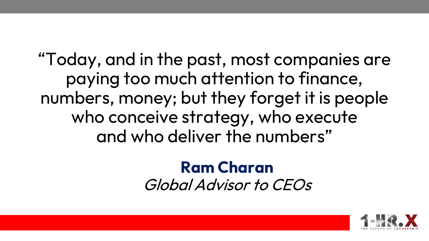"Today, and in the past, most companies are paying too much attention to finance, numbers, money; but they forget it is people who conceive strategy, who execute and who deliver the numbers"

## **Ram Charan** Global Advisor to CEOs

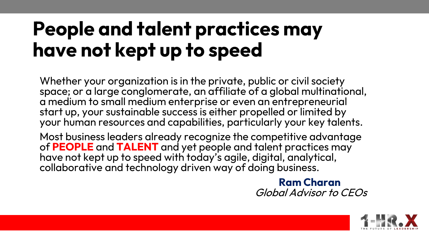## **People and talent practices may have not kept up to speed**

Whether your organization is in the private, public or civil society space; or a large conglomerate, an affiliate of a global multinational, a medium to small medium enterprise or even an entrepreneurial start up, your sustainable success is either propelled or limited by your human resources and capabilities, particularly your key talents.

Most business leaders already recognize the competitive advantage of **PEOPLE** and **TALENT** and yet people and talent practices may have not kept up to speed with today's agile, digital, analytical, collaborative and technology driven way of doing business.

> **Ram Charan** Global Advisor to CEOs

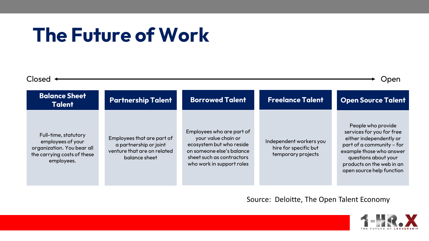## **The Future of Work**

| Closed<br>Jpen |                                                                                                                      |                                                                                                      |                                                                                                                                                                     |                                                                        |                                                                                                                                                                                                                       |
|----------------|----------------------------------------------------------------------------------------------------------------------|------------------------------------------------------------------------------------------------------|---------------------------------------------------------------------------------------------------------------------------------------------------------------------|------------------------------------------------------------------------|-----------------------------------------------------------------------------------------------------------------------------------------------------------------------------------------------------------------------|
|                | <b>Balance Sheet</b><br><b>Talent</b>                                                                                | <b>Partnership Talent</b>                                                                            | <b>Borrowed Talent</b>                                                                                                                                              | <b>Freelance Talent</b>                                                | <b>Open Source Talent</b>                                                                                                                                                                                             |
|                | Full-time, statutory<br>employees of your<br>organization. You bear all<br>the carrying costs of these<br>employees. | Employees that are part of<br>a partnership or joint<br>venture that are on related<br>balance sheet | Employees who are part of<br>your value chain or<br>ecosystem but who reside<br>on someone else's balance<br>sheet such as contractors<br>who work in support roles | Independent workers you<br>hire for specific but<br>temporary projects | People who provide<br>services for you for free<br>either independently or<br>part of a community - for<br>example those who answer<br>questions about your<br>products on the web in an<br>open source help function |

Source: Deloitte, The Open Talent Economy